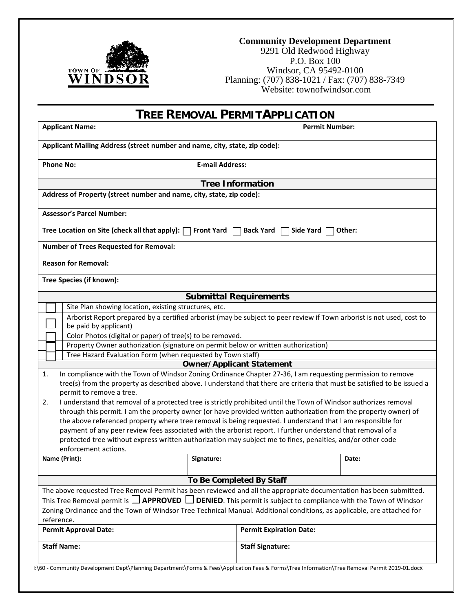

## **Community Development Department**

9291 Old Redwood Highway P.O. Box 100 Windsor, CA 95492-0100 Planning: (707) 838-1021 / Fax: (707) 838-7349 Website: townofwindsor.com

| <b>TREE REMOVAL PERMITAPPLICATION</b>                                                                                                                |                                                                                                                     |                                  |                       |        |  |
|------------------------------------------------------------------------------------------------------------------------------------------------------|---------------------------------------------------------------------------------------------------------------------|----------------------------------|-----------------------|--------|--|
| <b>Applicant Name:</b>                                                                                                                               |                                                                                                                     |                                  | <b>Permit Number:</b> |        |  |
| Applicant Mailing Address (street number and name, city, state, zip code):                                                                           |                                                                                                                     |                                  |                       |        |  |
| <b>Phone No:</b>                                                                                                                                     | <b>E-mail Address:</b>                                                                                              |                                  |                       |        |  |
|                                                                                                                                                      |                                                                                                                     | <b>Tree Information</b>          |                       |        |  |
| Address of Property (street number and name, city, state, zip code):                                                                                 |                                                                                                                     |                                  |                       |        |  |
| <b>Assessor's Parcel Number:</b>                                                                                                                     |                                                                                                                     |                                  |                       |        |  |
| Tree Location on Site (check all that apply):                                                                                                        | Front Yard                                                                                                          | <b>Back Yard</b>                 | Side Yard             | Other: |  |
| <b>Number of Trees Requested for Removal:</b>                                                                                                        |                                                                                                                     |                                  |                       |        |  |
| <b>Reason for Removal:</b>                                                                                                                           |                                                                                                                     |                                  |                       |        |  |
| Tree Species (if known):                                                                                                                             |                                                                                                                     |                                  |                       |        |  |
|                                                                                                                                                      |                                                                                                                     | <b>Submittal Requirements</b>    |                       |        |  |
| Site Plan showing location, existing structures, etc.                                                                                                |                                                                                                                     |                                  |                       |        |  |
| Arborist Report prepared by a certified arborist (may be subject to peer review if Town arborist is not used, cost to<br>be paid by applicant)       |                                                                                                                     |                                  |                       |        |  |
| Color Photos (digital or paper) of tree(s) to be removed.                                                                                            |                                                                                                                     |                                  |                       |        |  |
| Property Owner authorization (signature on permit below or written authorization)                                                                    |                                                                                                                     |                                  |                       |        |  |
| Tree Hazard Evaluation Form (when requested by Town staff)                                                                                           |                                                                                                                     | <b>Owner/Applicant Statement</b> |                       |        |  |
| In compliance with the Town of Windsor Zoning Ordinance Chapter 27-36, I am requesting permission to remove<br>1.                                    |                                                                                                                     |                                  |                       |        |  |
| tree(s) from the property as described above. I understand that there are criteria that must be satisfied to be issued a<br>permit to remove a tree. |                                                                                                                     |                                  |                       |        |  |
| I understand that removal of a protected tree is strictly prohibited until the Town of Windsor authorizes removal<br>2.                              |                                                                                                                     |                                  |                       |        |  |
| through this permit. I am the property owner (or have provided written authorization from the property owner) of                                     |                                                                                                                     |                                  |                       |        |  |
| the above referenced property where tree removal is being requested. I understand that I am responsible for                                          |                                                                                                                     |                                  |                       |        |  |
| payment of any peer review fees associated with the arborist report. I further understand that removal of a                                          |                                                                                                                     |                                  |                       |        |  |
| protected tree without express written authorization may subject me to fines, penalties, and/or other code                                           |                                                                                                                     |                                  |                       |        |  |
| enforcement actions.<br>Name (Print):                                                                                                                | Signature:                                                                                                          |                                  |                       | Date:  |  |
|                                                                                                                                                      |                                                                                                                     |                                  |                       |        |  |
|                                                                                                                                                      |                                                                                                                     | To Be Completed By Staff         |                       |        |  |
|                                                                                                                                                      | The above requested Tree Removal Permit has been reviewed and all the appropriate documentation has been submitted. |                                  |                       |        |  |
| This Tree Removal permit is $\Box$ APPROVED $\Box$ DENIED. This permit is subject to compliance with the Town of Windsor                             |                                                                                                                     |                                  |                       |        |  |
| Zoning Ordinance and the Town of Windsor Tree Technical Manual. Additional conditions, as applicable, are attached for                               |                                                                                                                     |                                  |                       |        |  |
| reference.                                                                                                                                           |                                                                                                                     |                                  |                       |        |  |
| <b>Permit Approval Date:</b>                                                                                                                         |                                                                                                                     | <b>Permit Expiration Date:</b>   |                       |        |  |
| <b>Staff Name:</b>                                                                                                                                   |                                                                                                                     | <b>Staff Signature:</b>          |                       |        |  |
|                                                                                                                                                      |                                                                                                                     |                                  |                       |        |  |

I:\60 - Community Development Dept\Planning Department\Forms & Fees\Application Fees & Forms\Tree Information\Tree Removal Permit 2019-01.docx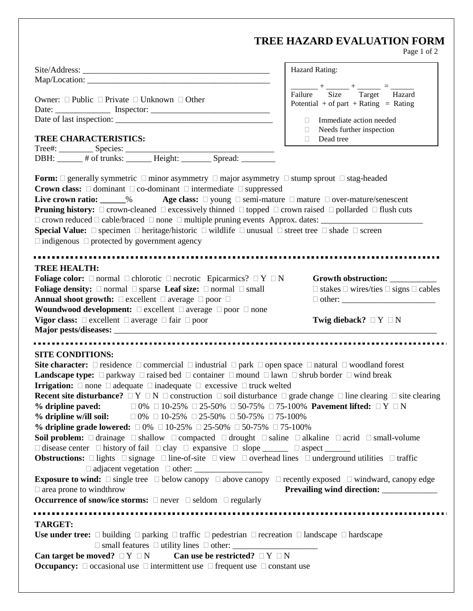## **TREE HAZARD EVALUATION FORM**

Page 1 of 2

|                                                                                                                                                                                                                                                                                                                                                                                                                                                                                                                                                                                                                                                                                                                                                                                                                                                                                                                                                                                                                                                                                                                                                                                                                                                                                                                                                                                                                                                                                                                                                                                                                                                          | Hazard Rating:                                                                                                                                                                                                                                                                                                                                     |  |  |
|----------------------------------------------------------------------------------------------------------------------------------------------------------------------------------------------------------------------------------------------------------------------------------------------------------------------------------------------------------------------------------------------------------------------------------------------------------------------------------------------------------------------------------------------------------------------------------------------------------------------------------------------------------------------------------------------------------------------------------------------------------------------------------------------------------------------------------------------------------------------------------------------------------------------------------------------------------------------------------------------------------------------------------------------------------------------------------------------------------------------------------------------------------------------------------------------------------------------------------------------------------------------------------------------------------------------------------------------------------------------------------------------------------------------------------------------------------------------------------------------------------------------------------------------------------------------------------------------------------------------------------------------------------|----------------------------------------------------------------------------------------------------------------------------------------------------------------------------------------------------------------------------------------------------------------------------------------------------------------------------------------------------|--|--|
|                                                                                                                                                                                                                                                                                                                                                                                                                                                                                                                                                                                                                                                                                                                                                                                                                                                                                                                                                                                                                                                                                                                                                                                                                                                                                                                                                                                                                                                                                                                                                                                                                                                          |                                                                                                                                                                                                                                                                                                                                                    |  |  |
| Owner: $\Box$ Public $\Box$ Private $\Box$ Unknown $\Box$ Other                                                                                                                                                                                                                                                                                                                                                                                                                                                                                                                                                                                                                                                                                                                                                                                                                                                                                                                                                                                                                                                                                                                                                                                                                                                                                                                                                                                                                                                                                                                                                                                          | $\frac{1}{3}$ + $\frac{1}{3}$ + $\frac{1}{3}$ + $\frac{1}{3}$ + $\frac{1}{3}$ + $\frac{1}{3}$ + $\frac{1}{3}$ + $\frac{1}{3}$ + $\frac{1}{3}$ + $\frac{1}{3}$ + $\frac{1}{3}$ + $\frac{1}{3}$ + $\frac{1}{3}$ + $\frac{1}{3}$ + $\frac{1}{3}$ + $\frac{1}{3}$ + $\frac{1}{3}$ + $\frac{1}{3}$ + $\frac{1$<br>Potential + of part + Rating = Rating |  |  |
|                                                                                                                                                                                                                                                                                                                                                                                                                                                                                                                                                                                                                                                                                                                                                                                                                                                                                                                                                                                                                                                                                                                                                                                                                                                                                                                                                                                                                                                                                                                                                                                                                                                          | Immediate action needed<br>П.                                                                                                                                                                                                                                                                                                                      |  |  |
| <b>TREE CHARACTERISTICS:</b>                                                                                                                                                                                                                                                                                                                                                                                                                                                                                                                                                                                                                                                                                                                                                                                                                                                                                                                                                                                                                                                                                                                                                                                                                                                                                                                                                                                                                                                                                                                                                                                                                             | Needs further inspection<br>$\Box$<br>Dead tree<br>$\Box$                                                                                                                                                                                                                                                                                          |  |  |
|                                                                                                                                                                                                                                                                                                                                                                                                                                                                                                                                                                                                                                                                                                                                                                                                                                                                                                                                                                                                                                                                                                                                                                                                                                                                                                                                                                                                                                                                                                                                                                                                                                                          |                                                                                                                                                                                                                                                                                                                                                    |  |  |
| <b>Form:</b> $\Box$ generally symmetric $\Box$ minor asymmetry $\Box$ major asymmetry $\Box$ stump sprout $\Box$ stag-headed<br><b>Crown class:</b> $\Box$ dominant $\Box$ co-dominant $\Box$ intermediate $\Box$ suppressed<br>Live crown ratio: ______% Age class: $\Box$ young $\Box$ semi-mature $\Box$ mature $\Box$ over-mature/senescent<br><b>Pruning history:</b> $\Box$ crown-cleaned $\Box$ excessively thinned $\Box$ topped $\Box$ crown raised $\Box$ pollarded $\Box$ flush cuts<br>$\Box$ crown reduced $\Box$ cable/braced $\Box$ none $\Box$ multiple pruning events Approx. dates:<br>Special Value: $\Box$ specimen $\Box$ heritage/historic $\Box$ wildlife $\Box$ unusual $\Box$ street tree $\Box$ shade $\Box$ screen<br>$\Box$ indigenous $\Box$ protected by government agency                                                                                                                                                                                                                                                                                                                                                                                                                                                                                                                                                                                                                                                                                                                                                                                                                                                 |                                                                                                                                                                                                                                                                                                                                                    |  |  |
| <b>TREE HEALTH:</b><br><b>Foliage color:</b> $\Box$ normal $\Box$ chlorotic $\Box$ necrotic Epicarmics? $\Box$ Y $\Box$ N<br><b>Foliage density:</b> $\Box$ normal $\Box$ sparse <b>Leaf size:</b> $\Box$ normal $\Box$ small<br>Annual shoot growth: □ excellent □ average □ poor □                                                                                                                                                                                                                                                                                                                                                                                                                                                                                                                                                                                                                                                                                                                                                                                                                                                                                                                                                                                                                                                                                                                                                                                                                                                                                                                                                                     | Growth obstruction: __________<br>$\Box$ stakes $\Box$ wires/ties $\Box$ signs $\Box$ cables                                                                                                                                                                                                                                                       |  |  |
| Woundwood development: $\square$ excellent $\square$ average $\square$ poor $\square$ none<br>Vigor class: $\square$ excellent $\square$ average $\square$ fair $\square$ poor                                                                                                                                                                                                                                                                                                                                                                                                                                                                                                                                                                                                                                                                                                                                                                                                                                                                                                                                                                                                                                                                                                                                                                                                                                                                                                                                                                                                                                                                           | Twig dieback? $\Box Y \Box N$                                                                                                                                                                                                                                                                                                                      |  |  |
| <b>SITE CONDITIONS:</b><br><b>Site character:</b> $\Box$ residence $\Box$ commercial $\Box$ industrial $\Box$ park $\Box$ open space $\Box$ natural $\Box$ woodland forest<br><b>Landscape type:</b> $\Box$ parkway $\Box$ raised bed $\Box$ container $\Box$ mound $\Box$ lawn $\Box$ shrub border $\Box$ wind break<br><b>Irrigation:</b> $\Box$ none $\Box$ adequate $\Box$ inadequate $\Box$ excessive $\Box$ truck welted<br><b>Recent site disturbance?</b> $\Box Y \Box N \Box$ construction $\Box$ soil disturbance $\Box$ grade change $\Box$ line clearing $\Box$ site clearing<br>% dripline paved: $\Box$ 0% $\Box$ 10-25% $\Box$ 25-50% $\Box$ 50-75% $\Box$ 75-100% Pavement lifted: $\Box$ Y $\Box$ N<br>% dripline w/ill soil: $\Box$ 0% $\Box$ 10-25% $\Box$ 25-50% $\Box$ 50-75% $\Box$ 75-100%<br>% dripline grade lowered: $\Box 0\%$ $\Box 10\text{-}25\%$ $\Box 25\text{-}50\%$ $\Box 50\text{-}75\%$ $\Box 75\text{-}100\%$<br><b>Soil problem:</b> $\Box$ drainage $\Box$ shallow $\Box$ compacted $\Box$ drought $\Box$ saline $\Box$ alkaline $\Box$ acrid $\Box$ small-volume<br>$\Box$ disease center $\Box$ history of fail $\Box$ clay $\Box$ expansive $\Box$ slope ______ $\Box$ aspect ______<br><b>Obstructions:</b> $\Box$ lights $\Box$ signage $\Box$ line-of-site $\Box$ view $\Box$ overhead lines $\Box$ underground utilities $\Box$ traffic<br><b>Exposure to wind:</b> $\Box$ single tree $\Box$ below canopy $\Box$ above canopy $\Box$ recently exposed $\Box$ windward, canopy edge<br>$\Box$ area prone to windthrow<br><b>Occurrence of snow/ice storms:</b> $\Box$ never $\Box$ seldom $\Box$ regularly |                                                                                                                                                                                                                                                                                                                                                    |  |  |
| <b>TARGET:</b><br>Use under tree: $\Box$ building $\Box$ parking $\Box$ traffic $\Box$ pedestrian $\Box$ recreation $\Box$ landscape $\Box$ hardscape<br>Can target be moved? $\Box Y \Box N$ Can use be restricted? $\Box Y \Box N$<br><b>Occupancy:</b> $\Box$ occasional use $\Box$ intermittent use $\Box$ frequent use $\Box$ constant use                                                                                                                                                                                                                                                                                                                                                                                                                                                                                                                                                                                                                                                                                                                                                                                                                                                                                                                                                                                                                                                                                                                                                                                                                                                                                                          |                                                                                                                                                                                                                                                                                                                                                    |  |  |